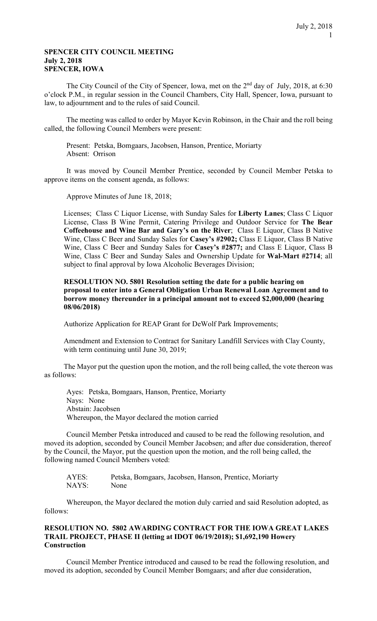# SPENCER CITY COUNCIL MEETING July 2, 2018 SPENCER, IOWA

The City Council of the City of Spencer, Iowa, met on the  $2<sup>nd</sup>$  day of July, 2018, at 6:30 o'clock P.M., in regular session in the Council Chambers, City Hall, Spencer, Iowa, pursuant to law, to adjournment and to the rules of said Council.

The meeting was called to order by Mayor Kevin Robinson, in the Chair and the roll being called, the following Council Members were present:

Present: Petska, Bomgaars, Jacobsen, Hanson, Prentice, Moriarty Absent: Orrison

It was moved by Council Member Prentice, seconded by Council Member Petska to approve items on the consent agenda, as follows:

Approve Minutes of June 18, 2018;

Licenses; Class C Liquor License, with Sunday Sales for Liberty Lanes; Class C Liquor License, Class B Wine Permit, Catering Privilege and Outdoor Service for The Bear Coffeehouse and Wine Bar and Gary's on the River; Class E Liquor, Class B Native Wine, Class C Beer and Sunday Sales for Casey's #2902; Class E Liquor, Class B Native Wine, Class C Beer and Sunday Sales for Casey's #2877; and Class E Liquor, Class B Wine, Class C Beer and Sunday Sales and Ownership Update for Wal-Mart #2714; all subject to final approval by Iowa Alcoholic Beverages Division;

RESOLUTION NO. 5801 Resolution setting the date for a public hearing on proposal to enter into a General Obligation Urban Renewal Loan Agreement and to borrow money thereunder in a principal amount not to exceed \$2,000,000 (hearing 08/06/2018)

Authorize Application for REAP Grant for DeWolf Park Improvements;

Amendment and Extension to Contract for Sanitary Landfill Services with Clay County, with term continuing until June 30, 2019;

The Mayor put the question upon the motion, and the roll being called, the vote thereon was as follows:

Ayes: Petska, Bomgaars, Hanson, Prentice, Moriarty Nays: None Abstain: Jacobsen Whereupon, the Mayor declared the motion carried

Council Member Petska introduced and caused to be read the following resolution, and moved its adoption, seconded by Council Member Jacobsen; and after due consideration, thereof by the Council, the Mayor, put the question upon the motion, and the roll being called, the following named Council Members voted:

 AYES: Petska, Bomgaars, Jacobsen, Hanson, Prentice, Moriarty NAYS: None

 Whereupon, the Mayor declared the motion duly carried and said Resolution adopted, as follows:

# RESOLUTION NO. 5802 AWARDING CONTRACT FOR THE IOWA GREAT LAKES TRAIL PROJECT, PHASE II (letting at IDOT 06/19/2018); \$1,692,190 Howery **Construction**

Council Member Prentice introduced and caused to be read the following resolution, and moved its adoption, seconded by Council Member Bomgaars; and after due consideration,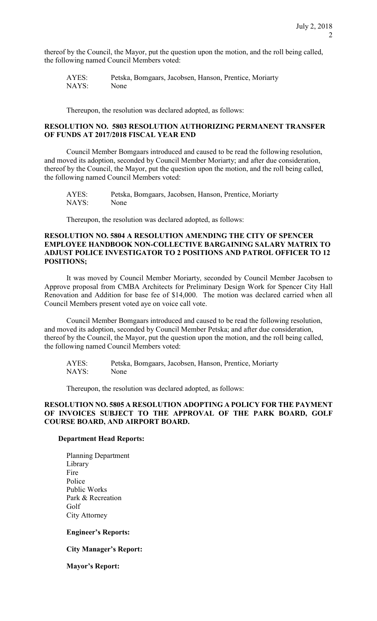thereof by the Council, the Mayor, put the question upon the motion, and the roll being called, the following named Council Members voted:

| AYES: | Petska, Bomgaars, Jacobsen, Hanson, Prentice, Moriarty |
|-------|--------------------------------------------------------|
| NAYS: | None                                                   |

Thereupon, the resolution was declared adopted, as follows:

### RESOLUTION NO. 5803 RESOLUTION AUTHORIZING PERMANENT TRANSFER OF FUNDS AT 2017/2018 FISCAL YEAR END

Council Member Bomgaars introduced and caused to be read the following resolution, and moved its adoption, seconded by Council Member Moriarty; and after due consideration, thereof by the Council, the Mayor, put the question upon the motion, and the roll being called, the following named Council Members voted:

| AYES: | Petska, Bomgaars, Jacobsen, Hanson, Prentice, Moriarty |
|-------|--------------------------------------------------------|
| NAYS: | None                                                   |

Thereupon, the resolution was declared adopted, as follows:

### RESOLUTION NO. 5804 A RESOLUTION AMENDING THE CITY OF SPENCER EMPLOYEE HANDBOOK NON-COLLECTIVE BARGAINING SALARY MATRIX TO ADJUST POLICE INVESTIGATOR TO 2 POSITIONS AND PATROL OFFICER TO 12 POSITIONS;

It was moved by Council Member Moriarty, seconded by Council Member Jacobsen to Approve proposal from CMBA Architects for Preliminary Design Work for Spencer City Hall Renovation and Addition for base fee of \$14,000. The motion was declared carried when all Council Members present voted aye on voice call vote.

Council Member Bomgaars introduced and caused to be read the following resolution, and moved its adoption, seconded by Council Member Petska; and after due consideration, thereof by the Council, the Mayor, put the question upon the motion, and the roll being called, the following named Council Members voted:

 AYES: Petska, Bomgaars, Jacobsen, Hanson, Prentice, Moriarty NAYS: None

Thereupon, the resolution was declared adopted, as follows:

# RESOLUTION NO. 5805 A RESOLUTION ADOPTING A POLICY FOR THE PAYMENT OF INVOICES SUBJECT TO THE APPROVAL OF THE PARK BOARD, GOLF COURSE BOARD, AND AIRPORT BOARD.

#### Department Head Reports:

Planning Department Library Fire Police Public Works Park & Recreation Golf City Attorney

### Engineer's Reports:

### City Manager's Report:

Mayor's Report: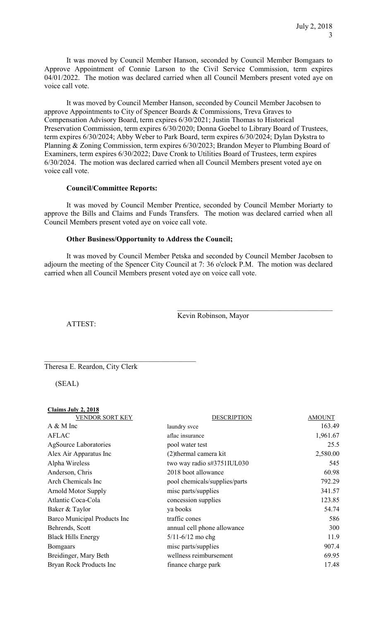It was moved by Council Member Hanson, seconded by Council Member Bomgaars to Approve Appointment of Connie Larson to the Civil Service Commission, term expires 04/01/2022. The motion was declared carried when all Council Members present voted aye on voice call vote.

It was moved by Council Member Hanson, seconded by Council Member Jacobsen to approve Appointments to City of Spencer Boards & Commissions, Treva Graves to Compensation Advisory Board, term expires 6/30/2021; Justin Thomas to Historical Preservation Commission, term expires 6/30/2020; Donna Goebel to Library Board of Trustees, term expires 6/30/2024; Abby Weber to Park Board, term expires 6/30/2024; Dylan Dykstra to Planning & Zoning Commission, term expires 6/30/2023; Brandon Meyer to Plumbing Board of Examiners, term expires 6/30/2022; Dave Cronk to Utilities Board of Trustees, term expires 6/30/2024. The motion was declared carried when all Council Members present voted aye on voice call vote.

### Council/Committee Reports:

It was moved by Council Member Prentice, seconded by Council Member Moriarty to approve the Bills and Claims and Funds Transfers. The motion was declared carried when all Council Members present voted aye on voice call vote.

# Other Business/Opportunity to Address the Council;

It was moved by Council Member Petska and seconded by Council Member Jacobsen to adjourn the meeting of the Spencer City Council at 7: 36 o'clock P.M. The motion was declared carried when all Council Members present voted aye on voice call vote.

Kevin Robinson, Mayor

ATTEST:

Theresa E. Reardon, City Clerk

(SEAL)

| <b>DESCRIPTION</b>            | <b>AMOUNT</b> |
|-------------------------------|---------------|
| laundry svce                  | 163.49        |
| aflac insurance               | 1,961.67      |
| pool water test               | 25.5          |
| (2) thermal camera kit        | 2,580.00      |
| two way radio s#3751IUL030    | 545           |
| 2018 boot allowance           | 60.98         |
| pool chemicals/supplies/parts | 792.29        |
| misc parts/supplies           | 341.57        |
| concession supplies           | 123.85        |
| ya books                      | 54.74         |
| traffic cones                 | 586           |
| annual cell phone allowance   | 300           |
| $5/11 - 6/12$ mo chg          | 11.9          |
| misc parts/supplies           | 907.4         |
| wellness reimbursement        | 69.95         |
| finance charge park           | 17.48         |
|                               |               |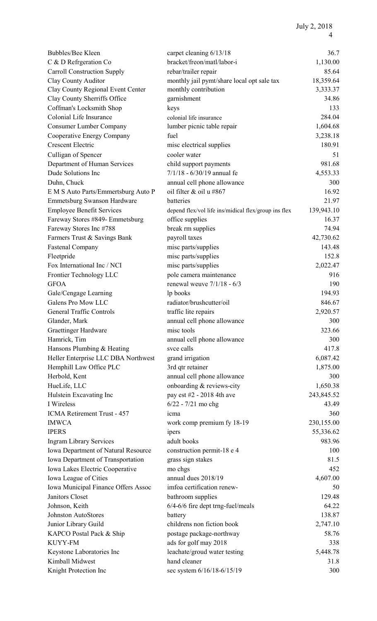| Bubbles/Bee Kleen                   | carpet cleaning 6/13/18                              | 36.7       |
|-------------------------------------|------------------------------------------------------|------------|
| C & D Refrgeration Co               | bracket/freon/matl/labor-i                           | 1,130.00   |
| <b>Carroll Construction Supply</b>  | rebar/trailer repair                                 | 85.64      |
| Clay County Auditor                 | monthly jail pymt/share local opt sale tax           | 18,359.64  |
| Clay County Regional Event Center   | monthly contribution                                 | 3,333.37   |
| Clay County Sherriffs Office        | garnishment                                          | 34.86      |
| Coffman's Locksmith Shop            | keys                                                 | 133        |
| Colonial Life Insurance             | colonial life insurance                              | 284.04     |
| <b>Consumer Lumber Company</b>      | lumber picnic table repair                           | 1,604.68   |
| Cooperative Energy Company          | fuel                                                 | 3,238.18   |
| <b>Crescent Electric</b>            | misc electrical supplies                             | 180.91     |
| Culligan of Spencer                 | cooler water                                         | 51         |
| Department of Human Services        | child support payments                               | 981.68     |
| Dude Solutions Inc                  | $7/1/18 - 6/30/19$ annual fe                         | 4,553.33   |
| Duhn, Chuck                         | annual cell phone allowance                          | 300        |
| E M S Auto Parts/Emmertsburg Auto P | oil filter & oil u #867                              | 16.92      |
| Emmetsburg Swanson Hardware         | batteries                                            | 21.97      |
| <b>Employee Benefit Services</b>    | depend flex/vol life ins/midical flex/group ins flex | 139,943.10 |
| Fareway Stores #849- Emmetsburg     | office supplies                                      | 16.37      |
| Fareway Stores Inc #788             | break rm supplies                                    | 74.94      |
| Farmers Trust & Savings Bank        | payroll taxes                                        | 42,730.62  |
| <b>Fastenal Company</b>             | misc parts/supplies                                  | 143.48     |
| Fleetpride                          | misc parts/supplies                                  | 152.8      |
| Fox International Inc / NCI         | misc parts/supplies                                  | 2,022.47   |
| Frontier Technology LLC             | pole camera maintenance                              | 916        |
| <b>GFOA</b>                         | renewal weuve $7/1/18 - 6/3$                         | 190        |
| Gale/Cengage Learning               | lp books                                             | 194.93     |
| Galens Pro Mow LLC                  | radiator/brushcutter/oil                             | 846.67     |
| <b>General Traffic Controls</b>     | traffic lite repairs                                 | 2,920.57   |
| Glander, Mark                       | annual cell phone allowance                          | 300        |
| <b>Graettinger Hardware</b>         | misc tools                                           | 323.66     |
| Hamrick, Tim                        | annual cell phone allowance                          | 300        |
| Hansons Plumbing & Heating          | svce calls                                           | 417.8      |
| Heller Enterprise LLC DBA Northwest | grand irrigation                                     | 6,087.42   |
| Hemphill Law Office PLC             | 3rd qtr retainer                                     | 1,875.00   |
| Herbold, Kent                       | annual cell phone allowance                          | 300        |
| HueLife, LLC                        | onboarding & reviews-city                            | 1,650.38   |
| Hulstein Excavating Inc             | pay est #2 - 2018 4th ave                            | 243,845.52 |
| I Wireless                          | $6/22 - 7/21$ mo chg                                 | 43.49      |
| ICMA Retirement Trust - 457         | 1cma                                                 | 360        |
| <b>IMWCA</b>                        | work comp premium fy 18-19                           | 230,155.00 |
| <b>IPERS</b>                        | ipers                                                | 55,336.62  |
| <b>Ingram Library Services</b>      | adult books                                          | 983.96     |
| Iowa Department of Natural Resource | construction permit-18 e 4                           | 100        |
| Iowa Department of Transportation   | grass sign stakes                                    | 81.5       |
| Iowa Lakes Electric Cooperative     | mo chgs                                              | 452        |
| Iowa League of Cities               | annual dues 2018/19                                  | 4,607.00   |
| Iowa Municipal Finance Offers Assoc | imfoa certification renew-                           | 50         |
| Janitors Closet                     | bathroom supplies                                    | 129.48     |
| Johnson, Keith                      | 6/4-6/6 fire dept trng-fuel/meals                    | 64.22      |
| Johnston AutoStores                 | battery                                              | 138.87     |
| Junior Library Guild                | childrens non fiction book                           | 2,747.10   |
| KAPCO Postal Pack & Ship            | postage package-northway                             | 58.76      |
| <b>KUYY-FM</b>                      | ads for golf may 2018                                | 338        |
| Keystone Laboratories Inc           | leachate/groud water testing                         | 5,448.78   |
| Kimball Midwest                     | hand cleaner                                         | 31.8       |
| Knight Protection Inc               | sec system 6/16/18-6/15/19                           | 300        |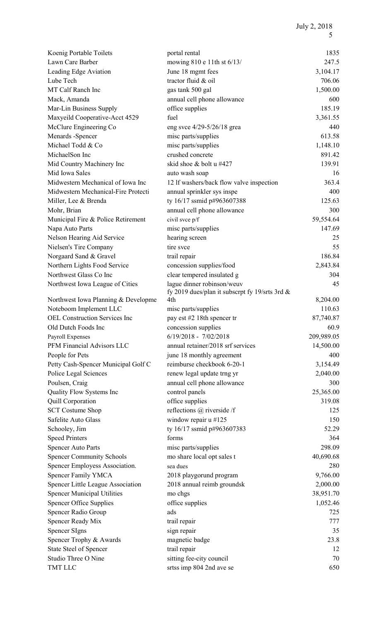| Koenig Portable Toilets              | portal rental                                  | 1835       |
|--------------------------------------|------------------------------------------------|------------|
| Lawn Care Barber                     | mowing 810 e 11th st 6/13/                     | 247.5      |
| Leading Edge Aviation                | June 18 mgmt fees                              | 3,104.17   |
| Lube Tech                            | tractor fluid & oil                            | 706.06     |
| MT Calf Ranch Inc                    | gas tank 500 gal                               | 1,500.00   |
| Mack, Amanda                         | annual cell phone allowance                    | 600        |
| Mar-Lin Business Supply              | office supplies                                | 185.19     |
| Maxyeild Cooperative-Acct 4529       | fuel                                           | 3,361.55   |
| McClure Engineering Co               | eng svce $4/29 - 5/26/18$ grea                 | 440        |
| Menards -Spencer                     | misc parts/supplies                            | 613.58     |
| Michael Todd & Co                    | misc parts/supplies                            | 1,148.10   |
| MichaelSon Inc                       | crushed concrete                               | 891.42     |
| Mid Country Machinery Inc            | skid shoe & bolt u #427                        | 139.91     |
| Mid Iowa Sales                       | auto wash soap                                 | 16         |
| Midwestern Mechanical of Iowa Inc    | 12 If washers/back flow valve inspection       | 363.4      |
| Midwestern Mechanical-Fire Protecti  | annual sprinkler sys inspe                     | 400        |
| Miller, Lee & Brenda                 | ty 16/17 ssmid p#963607388                     | 125.63     |
| Mohr, Brian                          | annual cell phone allowance                    | 300        |
| Municipal Fire & Police Retirement   | civil svce p/f                                 | 59,554.64  |
| Napa Auto Parts                      | misc parts/supplies                            | 147.69     |
| Nelson Hearing Aid Service           | hearing screen                                 | 25         |
| Nielsen's Tire Company               | tire svce                                      | 55         |
| Norgaard Sand & Gravel               | trail repair                                   | 186.84     |
| Northern Lights Food Service         | concession supplies/food                       | 2,843.84   |
| Northwest Glass Co Inc               | clear tempered insulated g                     | 304        |
| Northwest Iowa League of Cities      | lague dinner robinson/weuv                     | 45         |
|                                      | fy 2019 dues/plan it subscrpt fy 19/srts 3rd & |            |
| Northwest Iowa Planning & Developme  | 4th                                            | 8,204.00   |
| Noteboom Implement LLC               | misc parts/supplies                            | 110.63     |
| <b>OEL Construction Services Inc</b> | pay est #2 18th spencer tr                     | 87,740.87  |
| Old Dutch Foods Inc                  | concession supplies                            | 60.9       |
| Payroll Expenses                     | 6/19/2018 - 7/02/2018                          | 209,989.05 |
| PFM Financial Advisors LLC           | annual retainer/2018 srf services              | 14,500.00  |
| People for Pets                      | june 18 monthly agreement                      | 400        |
| Petty Cash-Spencer Municipal Golf C  | reimburse checkbook 6-20-1                     | 3,154.49   |
| Police Legal Sciences                | renew legal update trng yr                     | 2,040.00   |
| Poulsen, Craig                       | annual cell phone allowance                    | 300        |
| Quality Flow Systems Inc             | control panels                                 | 25,365.00  |
| Quill Corporation                    | office supplies                                | 319.08     |
| <b>SCT Costume Shop</b>              | reflections @ riverside /f                     | 125        |
| Safelite Auto Glass                  | window repair $u$ #125                         | 150        |
| Schooley, Jim                        | ty 16/17 ssmid p#963607383                     | 52.29      |
| <b>Speed Printers</b>                | forms                                          | 364        |
| <b>Spencer Auto Parts</b>            | misc parts/supplies                            | 298.09     |
| <b>Spencer Community Schools</b>     | mo share local opt sales t                     | 40,690.68  |
| Spencer Employess Association.       | sea dues                                       | 280        |
| <b>Spencer Family YMCA</b>           | 2018 playgorund program                        | 9,766.00   |
| Spencer Little League Association    | 2018 annual reimb groundsk                     | 2,000.00   |
| <b>Spencer Municipal Utilities</b>   | mo chgs                                        | 38,951.70  |
| <b>Spencer Office Supplies</b>       | office supplies                                | 1,052.46   |
| Spencer Radio Group                  | ads                                            | 725        |
| Spencer Ready Mix                    | trail repair                                   | 777        |
| <b>Spencer SIgns</b>                 | sign repair                                    | 35         |
| Spencer Trophy & Awards              | magnetic badge                                 | 23.8       |
| State Steel of Spencer               | trail repair                                   | 12         |
| Studio Three O Nine                  | sitting fee-city council                       | 70         |
| TMT LLC                              | srtss imp 804 2nd ave se                       | 650        |